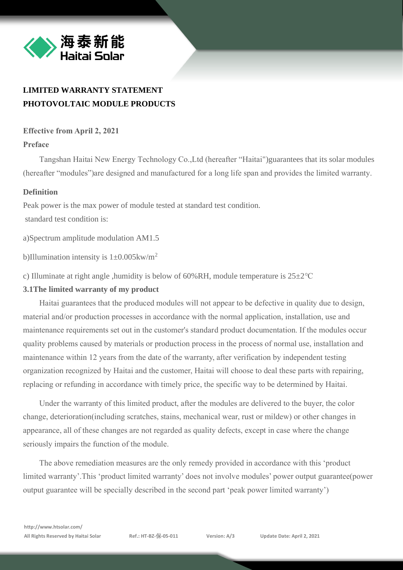

# **LIMITED WARRANTY STATEMENT PHOTOVOLTAIC MODULE PRODUCTS**

## **Effective from April 2, 2021**

## **Preface**

Tangshan Haitai New Energy Technology Co.,Ltd (hereafter "Haitai")guarantees that its solar modules (hereafter "modules")are designed and manufactured for a long life span and provides the limited warranty.

## **Definition**

Peak power is the max power of module tested at standard test condition. standard test condition is:

a)Spectrum amplitude modulation AM1.5

b)Illumination intensity is  $1\pm0.005$ kw/m<sup>2</sup>

c) Illuminate at right angle ,humidity is below of 60%RH, module temperature is 25±2℃

#### **3.1The limited warranty of my product**

Haitai guarantees that the produced modules will not appear to be defective in quality due to design, material and/or production processes in accordance with the normal application, installation, use and maintenance requirements set out in the customer's standard product documentation. If the modules occur quality problems caused by materials or production process in the process of normal use, installation and maintenance within 12 years from the date of the warranty, after verification by independent testing organization recognized by Haitai and the customer, Haitai will choose to deal these parts with repairing, replacing or refunding in accordance with timely price, the specific way to be determined by Haitai.

Under the warranty of this limited product, after the modules are delivered to the buyer, the color change, deterioration(including scratches, stains, mechanical wear, rust or mildew) or other changes in appearance, all of these changes are not regarded as quality defects, except in case where the change seriously impairs the function of the module.

The above remediation measures are the only remedy provided in accordance with this 'product limited warranty'.This 'product limited warranty' does not involve modules' power output guarantee(power output guarantee will be specially described in the second part 'peak power limited warranty')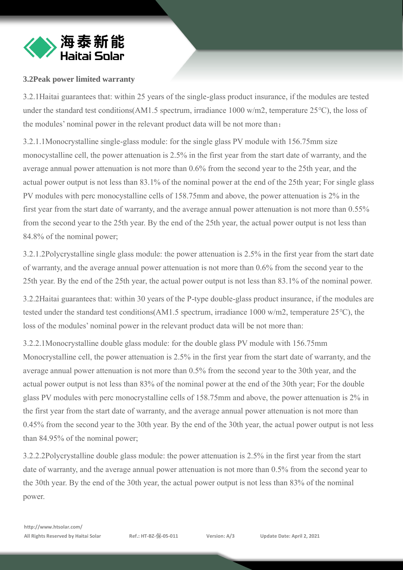

## **3.2Peak power limited warranty**

3.2.1Haitai guarantees that: within 25 years of the single-glass product insurance, if the modules are tested under the standard test conditions(AM1.5 spectrum, irradiance 1000 w/m2, temperature 25℃), the loss of the modules' nominal power in the relevant product data will be not more than:

3.2.1.1Monocrystalline single-glass module: for the single glass PV module with 156.75mm size monocystalline cell, the power attenuation is 2.5% in the first year from the start date of warranty, and the average annual power attenuation is not more than 0.6% from the second year to the 25th year, and the actual power output is not less than 83.1% of the nominal power at the end of the 25th year; For single glass PV modules with perc monocystalline cells of 158.75mm and above, the power attenuation is 2% in the first year from the start date of warranty, and the average annual power attenuation is not more than 0.55% from the second year to the 25th year. By the end of the 25th year, the actual power output is not less than 84.8% of the nominal power;

3.2.1.2Polycrystalline single glass module: the power attenuation is 2.5% in the first year from the start date of warranty, and the average annual power attenuation is not more than 0.6% from the second year to the 25th year. By the end of the 25th year, the actual power output is not less than 83.1% of the nominal power.

3.2.2Haitai guarantees that: within 30 years of the P-type double-glass product insurance, if the modules are tested under the standard test conditions(AM1.5 spectrum, irradiance 1000 w/m2, temperature 25℃), the loss of the modules' nominal power in the relevant product data will be not more than:

3.2.2.1Monocrystalline double glass module: for the double glass PV module with 156.75mm Monocrystalline cell, the power attenuation is 2.5% in the first year from the start date of warranty, and the average annual power attenuation is not more than 0.5% from the second year to the 30th year, and the actual power output is not less than 83% of the nominal power at the end of the 30th year; For the double glass PV modules with perc monocrystalline cells of 158.75mm and above, the power attenuation is 2% in the first year from the start date of warranty, and the average annual power attenuation is not more than 0.45% from the second year to the 30th year. By the end of the 30th year, the actual power output is not less than 84.95% of the nominal power;

3.2.2.2Polycrystalline double glass module: the power attenuation is 2.5% in the first year from the start date of warranty, and the average annual power attenuation is not more than 0.5% from the second year to the 30th year. By the end of the 30th year, the actual power output is not less than 83% of the nominal power.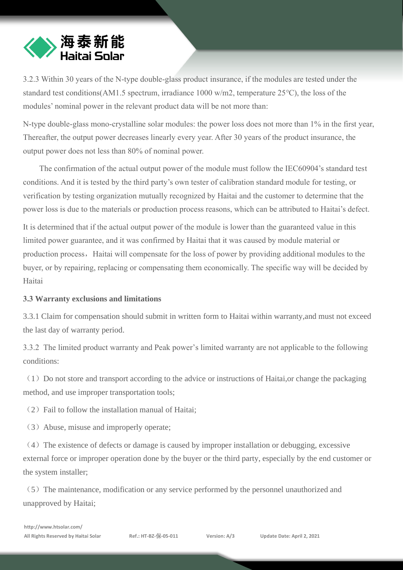

3.2.3 Within 30 years of the N-type double-glass product insurance, if the modules are tested under the standard test conditions(AM1.5 spectrum, irradiance 1000 w/m2, temperature 25℃), the loss of the modules' nominal power in the relevant product data will be not more than:

N-type double-glass mono-crystalline solar modules: the power loss does not more than 1% in the first year, Thereafter, the output power decreases linearly every year. After 30 years of the product insurance, the output power does not less than 80% of nominal power.

The confirmation of the actual output power of the module must follow the IEC60904's standard test conditions. And it is tested by the third party's own tester of calibration standard module for testing, or verification by testing organization mutually recognized by Haitai and the customer to determine that the power loss is due to the materials or production process reasons, which can be attributed to Haitai's defect.

It is determined that if the actual output power of the module is lower than the guaranteed value in this limited power guarantee, and it was confirmed by Haitai that it was caused by module material or production process, Haitai will compensate for the loss of power by providing additional modules to the buyer, or by repairing, replacing or compensating them economically. The specific way will be decided by Haitai

#### **3.3 Warranty exclusions and limitations**

3.3.1 Claim for compensation should submit in written form to Haitai within warranty,and must not exceed the last day of warranty period.

3.3.2 The limited product warranty and Peak power's limited warranty are not applicable to the following conditions:

 $(1)$  Do not store and transport according to the advice or instructions of Haitai, or change the packaging method, and use improper transportation tools;

 $(2)$  Fail to follow the installation manual of Haitai;

(3)Abuse, misuse and improperly operate;

 $(4)$  The existence of defects or damage is caused by improper installation or debugging, excessive external force or improper operation done by the buyer or the third party, especially by the end customer or the system installer;

 $(5)$  The maintenance, modification or any service performed by the personnel unauthorized and unapproved by Haitai;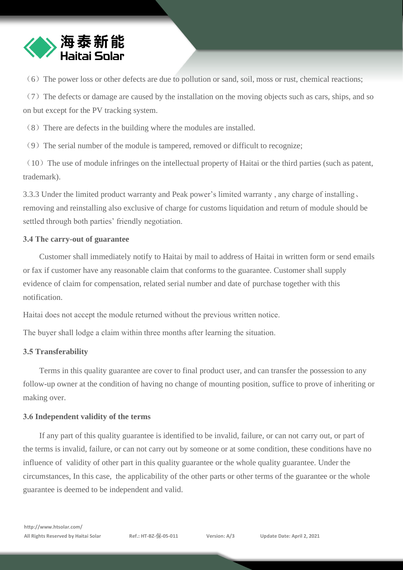

 $(6)$  The power loss or other defects are due to pollution or sand, soil, moss or rust, chemical reactions;

 $(7)$  The defects or damage are caused by the installation on the moving objects such as cars, ships, and so on but except for the PV tracking system.

 $(8)$  There are defects in the building where the modules are installed.

 $(9)$  The serial number of the module is tampered, removed or difficult to recognize;

 $(10)$  The use of module infringes on the intellectual property of Haitai or the third parties (such as patent, trademark).

3.3.3 Under the limited product warranty and Peak power's limited warranty , any charge of installing、 removing and reinstalling also exclusive of charge for customs liquidation and return of module should be settled through both parties' friendly negotiation.

## **3.4 The carry-out of guarantee**

Customer shall immediately notify to Haitai by mail to address of Haitai in written form or send emails or fax if customer have any reasonable claim that conforms to the guarantee. Customer shall supply evidence of claim for compensation, related serial number and date of purchase together with this notification.

Haitai does not accept the module returned without the previous written notice.

The buyer shall lodge a claim within three months after learning the situation.

## **3.5 [Transferability](https://cn.bing.com/dict/search?q=transferability&FORM=BDVSP6&mkt=zh-cn)**

Terms in this quality guarantee are cover to final product user, and can transfer the possession to any follow-up owner at the condition of having no change of mounting position, suffice to prove of inheriting or making over.

## **3.6 Independent validity of the terms**

If any part of this quality guarantee is identified to be invalid, failure, or can not carry out, or part of the terms is invalid, failure, or can not carry out by someone or at some condition, these conditions have no influence of validity of other part in this quality guarantee or the whole quality guarantee. Under the circumstances, In this case, the applicability of the other parts or other terms of the guarantee or the whole guarantee is deemed to be independent and valid.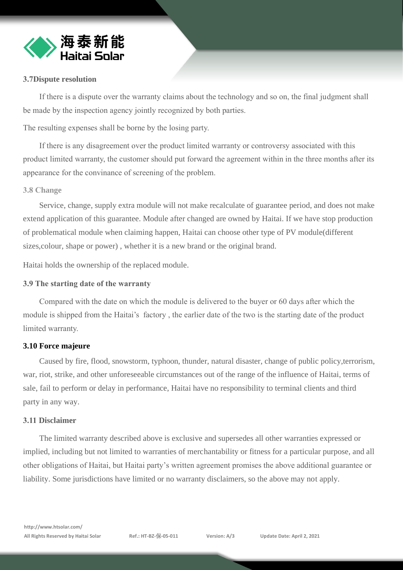

#### **3.7Dispute resolution**

If there is a dispute over the warranty claims about the technology and so on, the final judgment shall be made by the inspection agency jointly recognized by both parties.

The resulting expenses shall be borne by the losing party.

If there is any disagreement over the product limited warranty or controversy associated with this product limited warranty, the customer should put forward the agreement within in the three months after its appearance for the convinance of screening of the problem.

## **3.8 Change**

Service, change, supply extra module will not make recalculate of guarantee period, and does not make extend application of this guarantee. Module after changed are owned by Haitai. If we have stop production of problematical module when claiming happen, Haitai can choose other type of PV module(different sizes,colour, shape or power) , whether it is a new brand or the original brand.

Haitai holds the ownership of the replaced module.

### **3.9 The starting date of the warranty**

Compared with the date on which the module is delivered to the buyer or 60 days after which the module is shipped from the Haitai's factory , the earlier date of the two is the starting date of the product limited warranty.

#### **3.10 Force majeure**

Caused by fire, flood, snowstorm, typhoon, thunder, natural disaster, change of public policy,terrorism, war, riot, strike, and other unforeseeable circumstances out of the range of the influence of Haitai, terms of sale, fail to perform or delay in performance, Haitai have no responsibility to terminal clients and third party in any way.

#### **3.11 Disclaimer**

The limited warranty described above is exclusive and supersedes all other warranties expressed or implied, including but not limited to warranties of merchantability or fitness for a particular purpose, and all other obligations of Haitai, but Haitai party's written agreement promises the above additional guarantee or liability. Some jurisdictions have limited or no warranty disclaimers, so the above may not apply.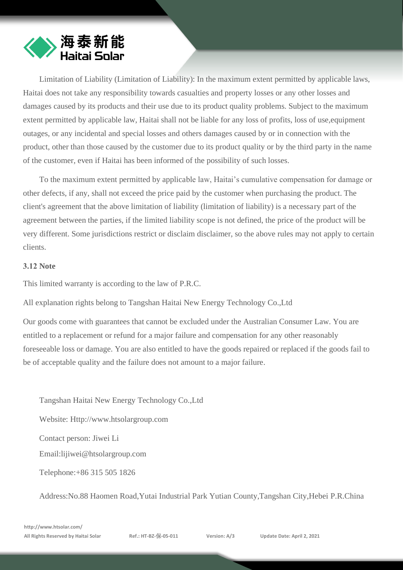

Limitation of Liability (Limitation of Liability): In the maximum extent permitted by applicable laws, Haitai does not take any responsibility towards casualties and property losses or any other losses and damages caused by its products and their use due to its product quality problems. Subject to the maximum extent permitted by applicable law, Haitai shall not be liable for any loss of profits, loss of use,equipment outages, or any incidental and special losses and others damages caused by or in connection with the product, other than those caused by the customer due to its product quality or by the third party in the name of the customer, even if Haitai has been informed of the possibility of such losses.

To the maximum extent permitted by applicable law, Haitai's cumulative compensation for damage or other defects, if any, shall not exceed the price paid by the customer when purchasing the product. The client's agreement that the above limitation of liability (limitation of liability) is a necessary part of the agreement between the parties, if the limited liability scope is not defined, the price of the product will be very different. Some jurisdictions restrict or disclaim disclaimer, so the above rules may not apply to certain clients.

#### **3.12 Note**

This limited warranty is according to the law of P.R.C.

All explanation rights belong to Tangshan Haitai New Energy Technology Co.,Ltd

Our goods come with guarantees that cannot be excluded under the Australian Consumer Law. You are entitled to a replacement or refund for a major failure and compensation for any other reasonably foreseeable loss or damage. You are also entitled to have the goods repaired or replaced if the goods fail to be of acceptable quality and the failure does not amount to a major failure.

Tangshan Haitai New Energy Technology Co.,Ltd Website: [Http://www.htsolargroup.com](http://www.htsolargroup.com/) Contact person: Jiwei L[i](mailto:lijiwei@htsolargroup.com) [Email:lijiwei@htsolargroup.co](mailto:lijiwei@htsolargroup.com)m Telephone:+86 315 505 1826

Address:No.88 Haomen Road,Yutai Industrial Park Yutian County,Tangshan City,Hebei P.R.China